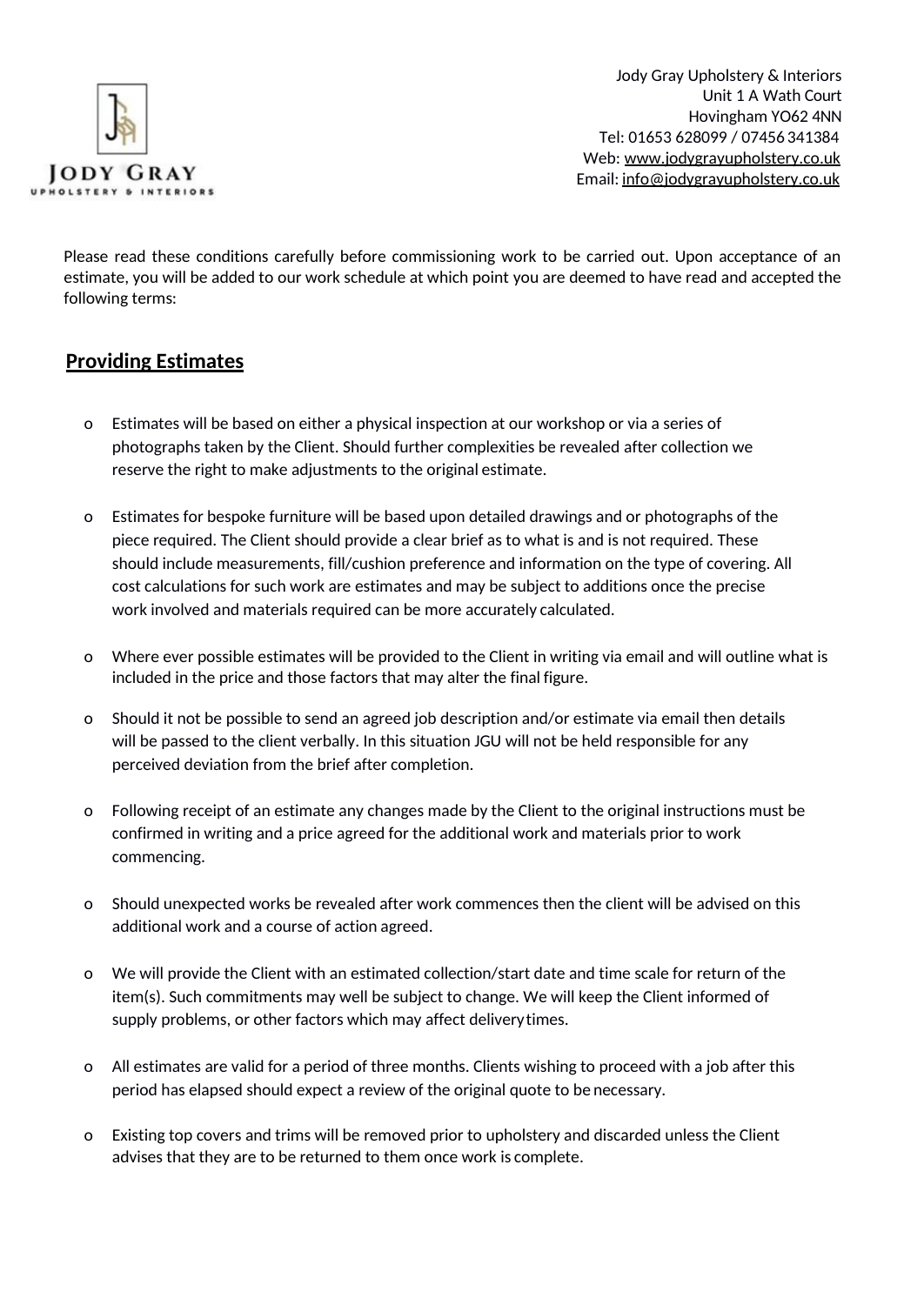

Jody Gray Upholstery & Interiors Unit 1 A Wath Court Hovingham YO62 4NN Tel: 01653 628099 / 07456 341384 Web: [www.jodygrayupholstery.co.uk](http://www.jodygrayupholstery.co.uk/) Email: [info@jodygrayupholstery.co.uk](mailto:info@jodygrayupholstery.co.uk)

Please read these conditions carefully before commissioning work to be carried out. Upon acceptance of an estimate, you will be added to our work schedule at which point you are deemed to have read and accepted the following terms:

#### **Providing Estimates**

- o Estimates will be based on either a physical inspection at our workshop or via a series of photographs taken by the Client. Should further complexities be revealed after collection we reserve the right to make adjustments to the original estimate.
- o Estimates for bespoke furniture will be based upon detailed drawings and or photographs of the piece required. The Client should provide a clear brief as to what is and is not required. These should include measurements, fill/cushion preference and information on the type of covering. All cost calculations for such work are estimates and may be subject to additions once the precise work involved and materials required can be more accurately calculated.
- o Where ever possible estimates will be provided to the Client in writing via email and will outline what is included in the price and those factors that may alter the final figure.
- o Should it not be possible to send an agreed job description and/or estimate via email then details will be passed to the client verbally. In this situation JGU will not be held responsible for any perceived deviation from the brief after completion.
- o Following receipt of an estimate any changes made by the Client to the original instructions must be confirmed in writing and a price agreed for the additional work and materials prior to work commencing.
- o Should unexpected works be revealed after work commences then the client will be advised on this additional work and a course of action agreed.
- o We will provide the Client with an estimated collection/start date and time scale for return of the item(s). Such commitments may well be subject to change. We will keep the Client informed of supply problems, or other factors which may affect deliverytimes.
- o All estimates are valid for a period of three months. Clients wishing to proceed with a job after this period has elapsed should expect a review of the original quote to be necessary.
- o Existing top covers and trims will be removed prior to upholstery and discarded unless the Client advises that they are to be returned to them once work is complete.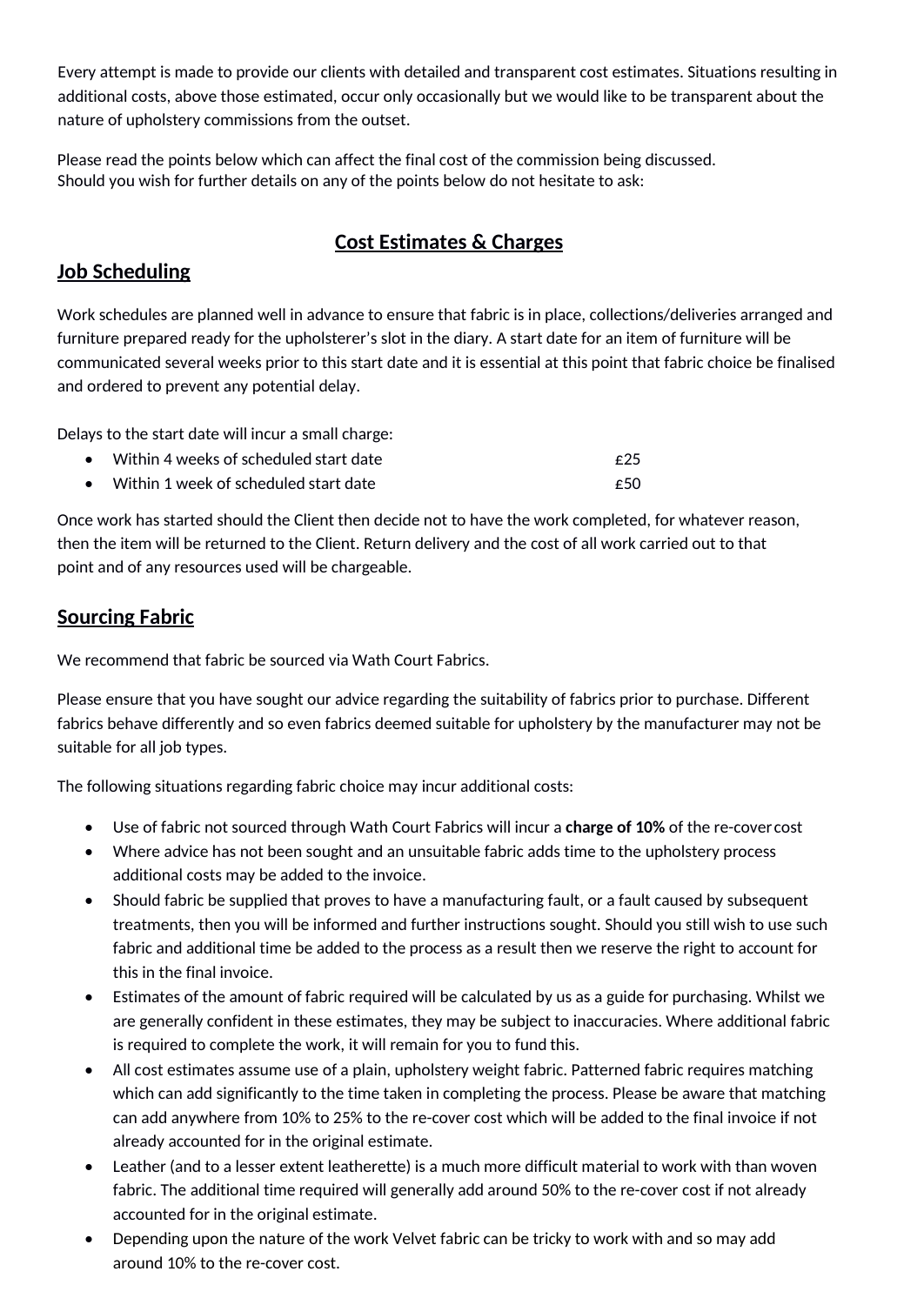Every attempt is made to provide our clients with detailed and transparent cost estimates. Situations resulting in additional costs, above those estimated, occur only occasionally but we would like to be transparent about the nature of upholstery commissions from the outset.

Please read the points below which can affect the final cost of the commission being discussed. Should you wish for further details on any of the points below do not hesitate to ask:

# **Cost Estimates & Charges**

## **Job Scheduling**

Work schedules are planned well in advance to ensure that fabric is in place, collections/deliveries arranged and furniture prepared ready for the upholsterer's slot in the diary. A start date for an item of furniture will be communicated several weeks prior to this start date and it is essential at this point that fabric choice be finalised and ordered to prevent any potential delay.

Delays to the start date will incur a small charge:

- Within 4 weeks of scheduled start date  $\epsilon$  25
- Within 1 week of scheduled start date  $\epsilon$  50

Once work has started should the Client then decide not to have the work completed, for whatever reason, then the item will be returned to the Client. Return delivery and the cost of all work carried out to that point and of any resources used will be chargeable.

### **Sourcing Fabric**

We recommend that fabric be sourced via Wath Court Fabrics.

Please ensure that you have sought our advice regarding the suitability of fabrics prior to purchase. Different fabrics behave differently and so even fabrics deemed suitable for upholstery by the manufacturer may not be suitable for all job types.

The following situations regarding fabric choice may incur additional costs:

- Use of fabric not sourced through Wath Court Fabrics will incur a **charge of 10%** of the re-cover cost
- Where advice has not been sought and an unsuitable fabric adds time to the upholstery process additional costs may be added to the invoice.
- Should fabric be supplied that proves to have a manufacturing fault, or a fault caused by subsequent treatments, then you will be informed and further instructions sought. Should you still wish to use such fabric and additional time be added to the process as a result then we reserve the right to account for this in the final invoice.
- Estimates of the amount of fabric required will be calculated by us as a guide for purchasing. Whilst we are generally confident in these estimates, they may be subject to inaccuracies. Where additional fabric is required to complete the work, it will remain for you to fund this.
- All cost estimates assume use of a plain, upholstery weight fabric. Patterned fabric requires matching which can add significantly to the time taken in completing the process. Please be aware that matching can add anywhere from 10% to 25% to the re-cover cost which will be added to the final invoice if not already accounted for in the original estimate.
- Leather (and to a lesser extent leatherette) is a much more difficult material to work with than woven fabric. The additional time required will generally add around 50% to the re-cover cost if not already accounted for in the original estimate.
- Depending upon the nature of the work Velvet fabric can be tricky to work with and so may add around 10% to the re-cover cost.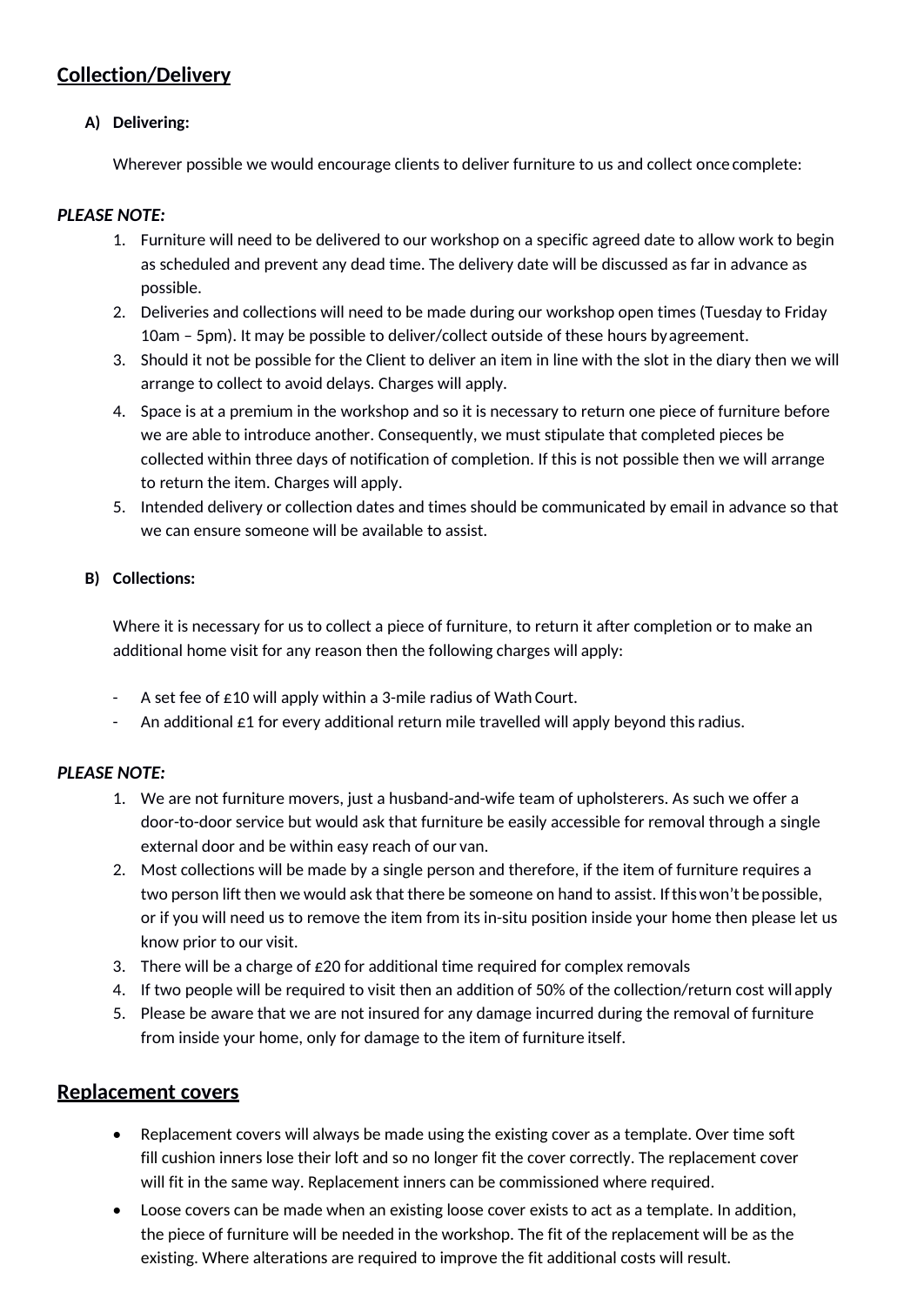### **Collection/Delivery**

#### **A) Delivering:**

Wherever possible we would encourage clients to deliver furniture to us and collect once complete:

#### *PLEASE NOTE:*

- 1. Furniture will need to be delivered to our workshop on a specific agreed date to allow work to begin as scheduled and prevent any dead time. The delivery date will be discussed as far in advance as possible.
- 2. Deliveries and collections will need to be made during our workshop open times (Tuesday to Friday 10am – 5pm). It may be possible to deliver/collect outside of these hours byagreement.
- 3. Should it not be possible for the Client to deliver an item in line with the slot in the diary then we will arrange to collect to avoid delays. Charges will apply.
- 4. Space is at a premium in the workshop and so it is necessary to return one piece of furniture before we are able to introduce another. Consequently, we must stipulate that completed pieces be collected within three days of notification of completion. If this is not possible then we will arrange to return the item. Charges will apply.
- 5. Intended delivery or collection dates and times should be communicated by email in advance so that we can ensure someone will be available to assist.

#### **B) Collections:**

Where it is necessary for us to collect a piece of furniture, to return it after completion or to make an additional home visit for any reason then the following charges will apply:

- A set fee of  $\epsilon$ 10 will apply within a 3-mile radius of Wath Court.
- An additional  $\epsilon$ 1 for every additional return mile travelled will apply beyond this radius.

#### *PLEASE NOTE:*

- 1. We are not furniture movers, just a husband-and-wife team of upholsterers. As such we offer a door-to-door service but would ask that furniture be easily accessible for removal through a single external door and be within easy reach of our van.
- 2. Most collections will be made by a single person and therefore, if the item of furniture requires a two person lift then we would ask that there be someone on hand to assist. Ifthiswon't be possible, or if you will need us to remove the item from its in-situ position inside your home then please let us know prior to our visit.
- 3. There will be a charge of  $£20$  for additional time required for complex removals
- 4. If two people will be required to visit then an addition of 50% of the collection/return cost will apply
- 5. Please be aware that we are not insured for any damage incurred during the removal of furniture from inside your home, only for damage to the item of furniture itself.

#### **Replacement covers**

- Replacement covers will always be made using the existing cover as a template. Over time soft fill cushion inners lose their loft and so no longer fit the cover correctly. The replacement cover will fit in the same way. Replacement inners can be commissioned where required.
- Loose covers can be made when an existing loose cover exists to act as a template. In addition, the piece of furniture will be needed in the workshop. The fit of the replacement will be as the existing. Where alterations are required to improve the fit additional costs will result.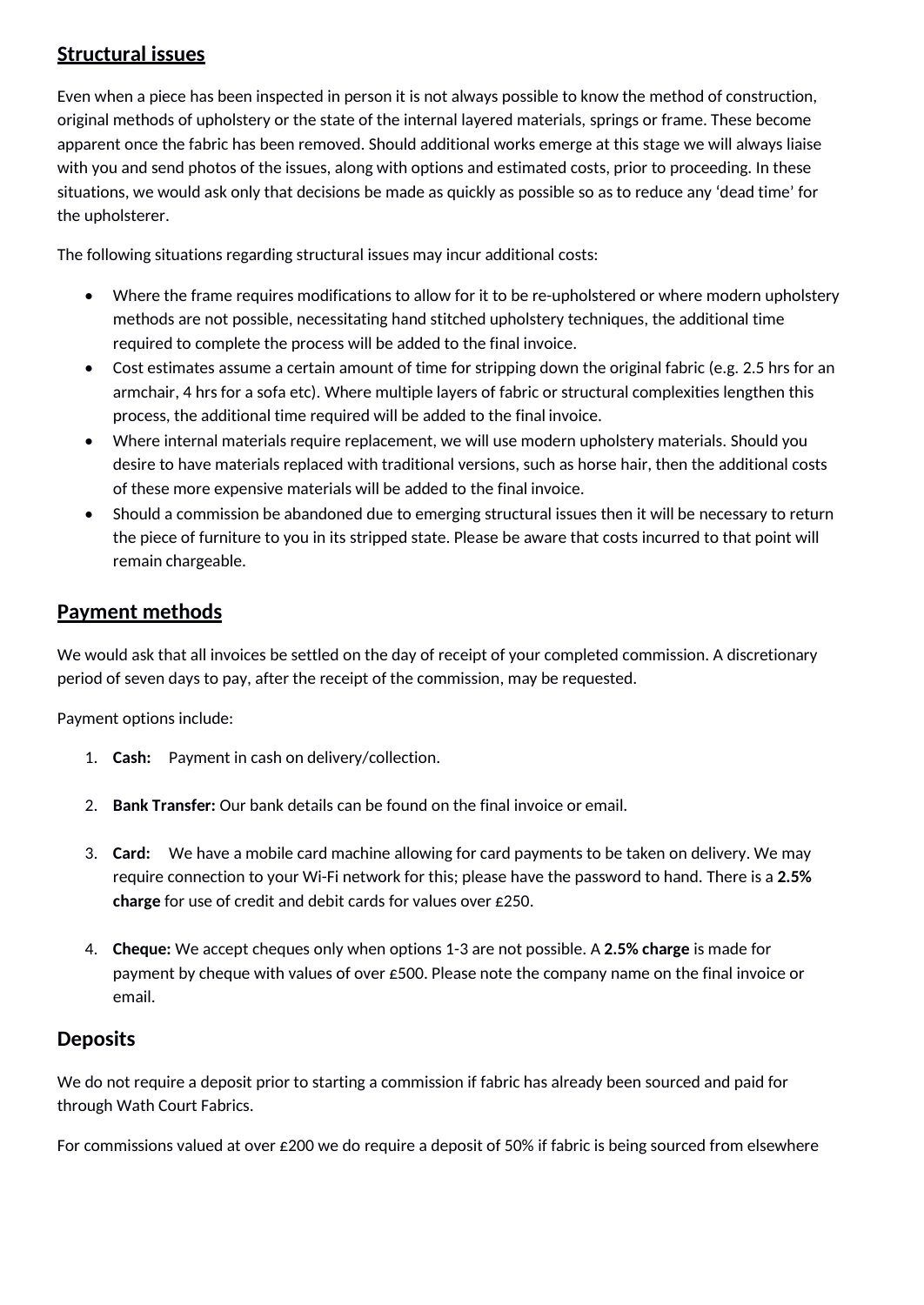## **Structural issues**

Even when a piece has been inspected in person it is not always possible to know the method of construction, original methods of upholstery or the state of the internal layered materials, springs or frame. These become apparent once the fabric has been removed. Should additional works emerge at this stage we will always liaise with you and send photos of the issues, along with options and estimated costs, prior to proceeding. In these situations, we would ask only that decisions be made as quickly as possible so as to reduce any 'dead time' for the upholsterer.

The following situations regarding structural issues may incur additional costs:

- Where the frame requires modifications to allow for it to be re-upholstered or where modern upholstery methods are not possible, necessitating hand stitched upholstery techniques, the additional time required to complete the process will be added to the final invoice.
- Cost estimates assume a certain amount of time for stripping down the original fabric (e.g. 2.5 hrs for an armchair, 4 hrs for a sofa etc). Where multiple layers of fabric or structural complexities lengthen this process, the additional time required will be added to the final invoice.
- Where internal materials require replacement, we will use modern upholstery materials. Should you desire to have materials replaced with traditional versions, such as horse hair, then the additional costs of these more expensive materials will be added to the final invoice.
- Should a commission be abandoned due to emerging structural issues then it will be necessary to return the piece of furniture to you in its stripped state. Please be aware that costs incurred to that point will remain chargeable.

## **Payment methods**

We would ask that all invoices be settled on the day of receipt of your completed commission. A discretionary period of seven days to pay, after the receipt of the commission, may be requested.

Payment options include:

- 1. **Cash:** Payment in cash on delivery/collection.
- 2. **Bank Transfer:** Our bank details can be found on the final invoice or email.
- 3. **Card:** We have a mobile card machine allowing for card payments to be taken on delivery. We may require connection to your Wi-Fi network for this; please have the password to hand. There is a **2.5% charge** for use of credit and debit cards for values over £250.
- 4. **Cheque:** We accept cheques only when options 1-3 are not possible. A **2.5% charge** is made for payment by cheque with values of over £500. Please note the company name on the final invoice or email.

### **Deposits**

We do not require a deposit prior to starting a commission if fabric has already been sourced and paid for through Wath Court Fabrics.

For commissions valued at over £200 we do require a deposit of 50% if fabric is being sourced from elsewhere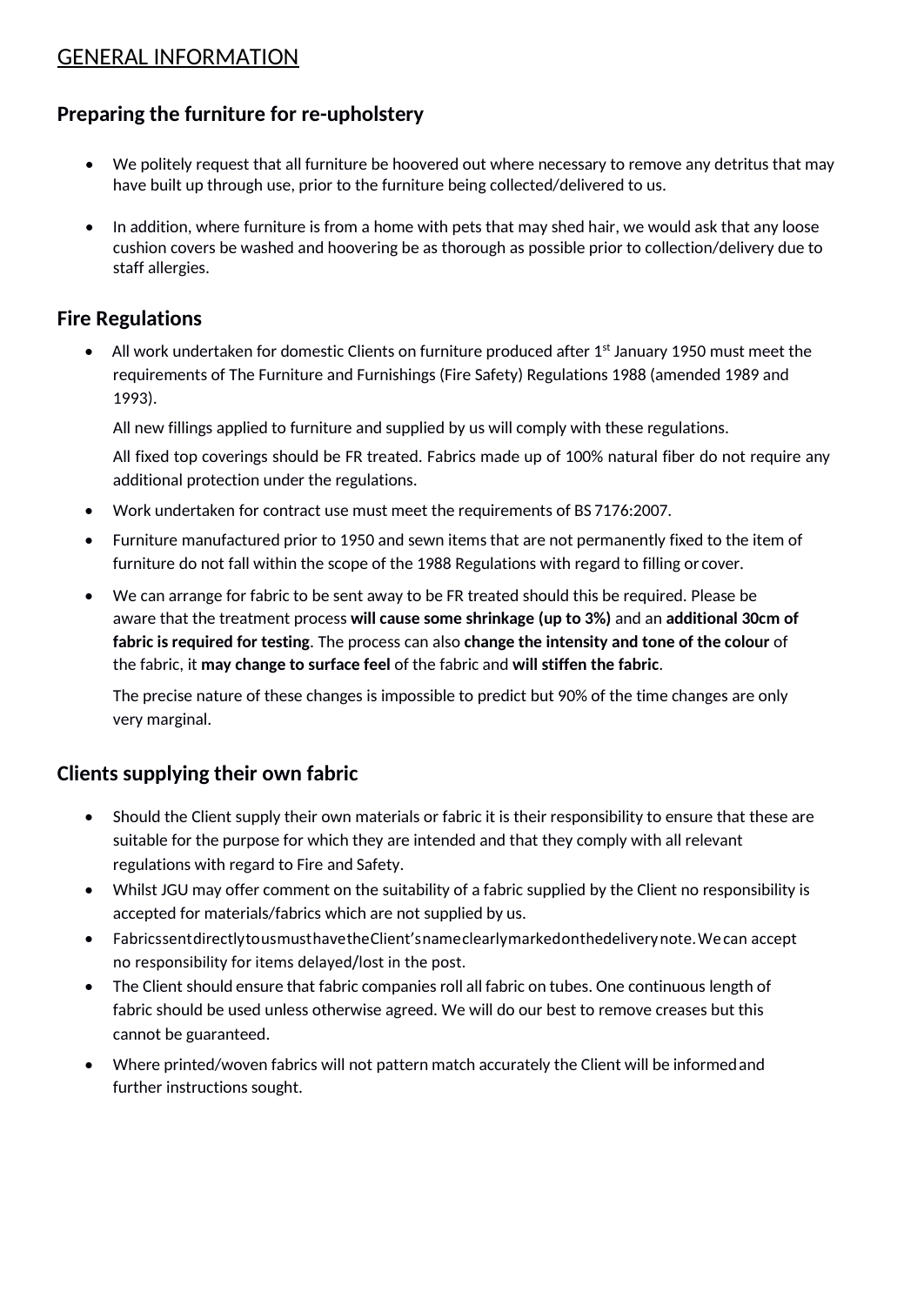# GENERAL INFORMATION

# **Preparing the furniture for re-upholstery**

- We politely request that all furniture be hoovered out where necessary to remove any detritus that may have built up through use, prior to the furniture being collected/delivered to us.
- In addition, where furniture is from a home with pets that may shed hair, we would ask that any loose cushion covers be washed and hoovering be as thorough as possible prior to collection/delivery due to staff allergies.

### **Fire Regulations**

All work undertaken for domestic Clients on furniture produced after  $1<sup>st</sup>$  January 1950 must meet the requirements of The Furniture and Furnishings (Fire Safety) Regulations 1988 (amended 1989 and 1993).

All new fillings applied to furniture and supplied by us will comply with these regulations.

All fixed top coverings should be FR treated. Fabrics made up of 100% natural fiber do not require any additional protection under the regulations.

- Work undertaken for contract use must meet the requirements of BS 7176:2007.
- Furniture manufactured prior to 1950 and sewn items that are not permanently fixed to the item of furniture do not fall within the scope of the 1988 Regulations with regard to filling or cover.
- We can arrange for fabric to be sent away to be FR treated should this be required. Please be aware that the treatment process **will cause some shrinkage (up to 3%)** and an **additional 30cm of fabric is required for testing**. The process can also **change the intensity and tone of the colour** of the fabric, it **may change to surface feel** of the fabric and **will stiffen the fabric**.

The precise nature of these changes is impossible to predict but 90% of the time changes are only very marginal.

# **Clients supplying their own fabric**

- Should the Client supply their own materials or fabric it is their responsibility to ensure that these are suitable for the purpose for which they are intended and that they comply with all relevant regulations with regard to Fire and Safety.
- Whilst JGU may offer comment on the suitability of a fabric supplied by the Client no responsibility is accepted for materials/fabrics which are not supplied by us.
- FabricssentdirectlytousmusthavetheClient'snameclearlymarkedonthedeliverynote.Wecan accept no responsibility for items delayed/lost in the post.
- The Client should ensure that fabric companies roll all fabric on tubes. One continuous length of fabric should be used unless otherwise agreed. We will do our best to remove creases but this cannot be guaranteed.
- Where printed/woven fabrics will not pattern match accurately the Client will be informedand further instructions sought.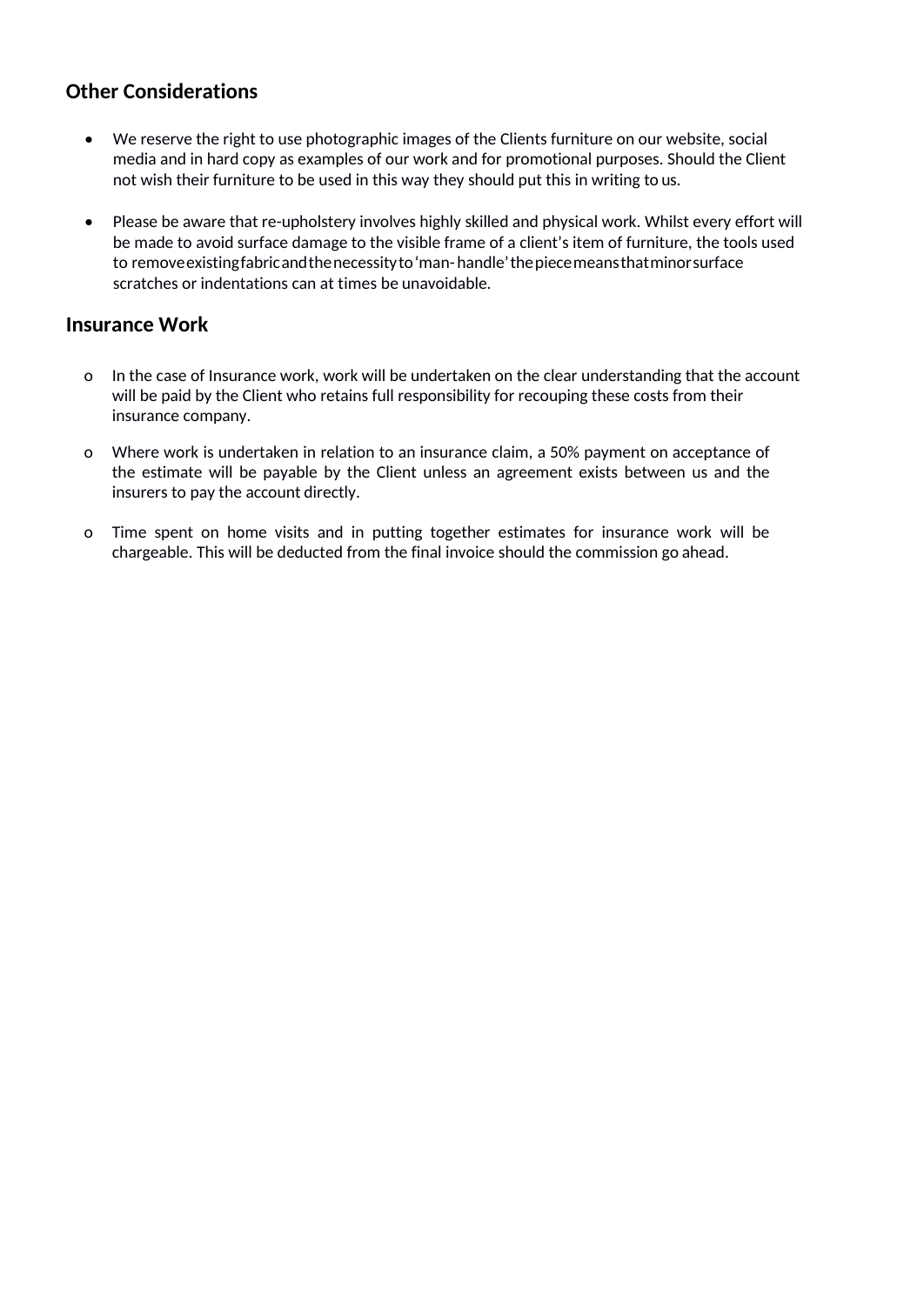### **Other Considerations**

- We reserve the right to use photographic images of the Clients furniture on our website, social media and in hard copy as examples of our work and for promotional purposes. Should the Client not wish their furniture to be used in this way they should put this in writing to us.
- Please be aware that re-upholstery involves highly skilled and physical work. Whilst every effort will be made to avoid surface damage to the visible frame of a client's item of furniture, the tools used to removeexistingfabricandthenecessityto'man-handle'thepiecemeansthatminorsurface scratches or indentations can at times be unavoidable.

#### **Insurance Work**

- o In the case of Insurance work, work will be undertaken on the clear understanding that the account will be paid by the Client who retains full responsibility for recouping these costs from their insurance company.
- o Where work is undertaken in relation to an insurance claim, a 50% payment on acceptance of the estimate will be payable by the Client unless an agreement exists between us and the insurers to pay the account directly.
- o Time spent on home visits and in putting together estimates for insurance work will be chargeable. This will be deducted from the final invoice should the commission go ahead.